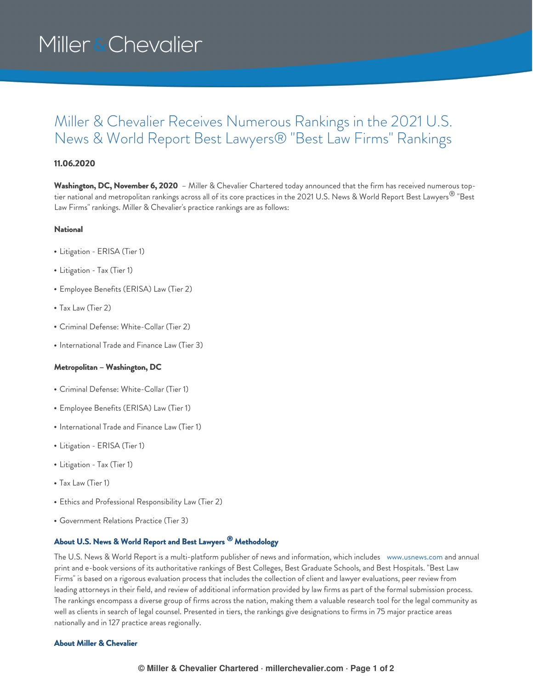# Miller & Chevalier

### Miller & Chevalier Receives Numerous Rankings in the 2021 U.S. News & World Report Best Lawyers® "Best Law Firms" Rankings

#### **11.06.2020**

**Washington, DC, November 6, 2020** – Miller & Chevalier Chartered today announced that the firm has received numerous toptier national and metropolitan rankings across all of its core practices in the 2021 U.S. News & World Report Best Lawyers® "Best Law Firms" rankings. Miller & Chevalier's practice rankings are as follows:

#### **National**

- Litigation ERISA (Tier 1)
- Litigation Tax (Tier 1)
- Employee Benefits (ERISA) Law (Tier 2)
- Tax Law (Tier 2)
- Criminal Defense: White-Collar (Tier 2)
- International Trade and Finance Law (Tier 3)

#### **Metropolitan – Washington, DC**

- Criminal Defense: White-Collar (Tier 1)
- Employee Benefits (ERISA) Law (Tier 1)
- International Trade and Finance Law (Tier 1)
- Litigation ERISA (Tier 1)
- Litigation Tax (Tier 1)
- Tax Law (Tier 1)
- Ethics and Professional Responsibility Law (Tier 2)
- Government Relations Practice (Tier 3)

### **About U.S. News & World Report and Best Lawyers Methodology ®**

The U.S. News & World Report is a multi-platform publisher of news and information, which includes [www.usnews.com](http://www.usnews.com) and annual print and e-book versions of its authoritative rankings of Best Colleges, Best Graduate Schools, and Best Hospitals. "Best Law Firms" is based on a rigorous evaluation process that includes the collection of client and lawyer evaluations, peer review from leading attorneys in their field, and review of additional information provided by law firms as part of the formal submission process. The rankings encompass a diverse group of firms across the nation, making them a valuable research tool for the legal community as well as clients in search of legal counsel. Presented in tiers, the rankings give designations to firms in 75 major practice areas nationally and in 127 practice areas regionally.

#### **About Miller & Chevalier**